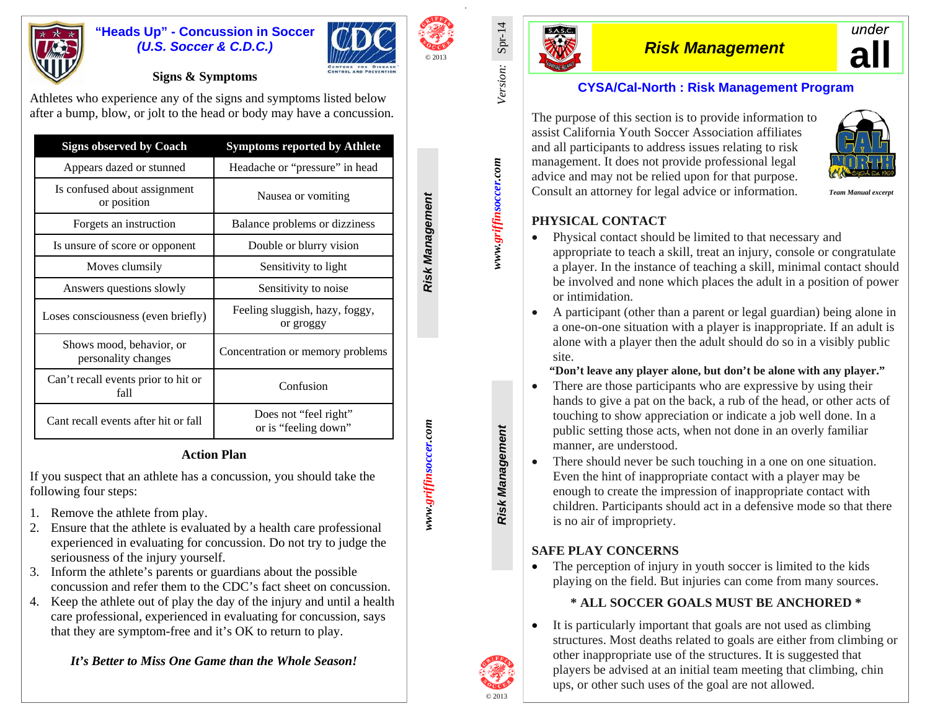

#### **"Heads Up" - Concussion in Soccer**  *(U.S. Soccer & C.D.C.)*



#### **Signs & Symptoms**

Athletes who experience any of the signs and symptoms listed below after a bump, blow, or jolt to the head or body may have a concussion.

| <b>Signs observed by Coach</b>                  | <b>Symptoms reported by Athlete</b>           |
|-------------------------------------------------|-----------------------------------------------|
| Appears dazed or stunned                        | Headache or "pressure" in head                |
| Is confused about assignment<br>or position     | Nausea or vomiting                            |
| Forgets an instruction                          | Balance problems or dizziness                 |
| Is unsure of score or opponent                  | Double or blurry vision                       |
| Moves clumsily                                  | Sensitivity to light                          |
| Answers questions slowly                        | Sensitivity to noise                          |
| Loses consciousness (even briefly)              | Feeling sluggish, hazy, foggy,<br>or groggy   |
| Shows mood, behavior, or<br>personality changes | Concentration or memory problems              |
| Can't recall events prior to hit or<br>fall     | Confusion                                     |
| Cant recall events after hit or fall            | Does not "feel right"<br>or is "feeling down" |

#### **Action Plan**

If you suspect that an athlete has a concussion, you should take the following four steps:

- 1. Remove the athlete from play.
- 2. Ensure that the athlete is evaluated by a health care professional experienced in evaluating for concussion. Do not try to judge the seriousness of the injury yourself.
- 3. Inform the athlete's parents or guardians about the possible concussion and refer them to the CDC's fact sheet on concussion.
- 4. Keep the athlete out of play the day of the injury and until a health care professional, experienced in evaluating for concussion, says that they are symptom-free and it's OK to return to play.

# *It's Better to Miss One Game than the Whole Season!*

Risk Management

*www.griffinsoccer.com* 

vww.griffinsoccer.com

Version: Spr-14

*Risk Management Version:* Spr-14

*www.griffinsoccer.com Risk Management* 

www.griffinsoccer.com

Risk Management



# *Risk Management* **all**

# under

#### **CYSA/Cal-North : Risk Management Program**

The purpose of this section is to provide information to assist California Youth Soccer Association affiliates and all participants to address issues relating to risk management. It does not provide professional legal advice and may not be relied upon for that purpose. Consult an attorney for legal advice or information.



 $Team$ *Manual excerp* 

#### **PHYSICAL CONTACT**

- Physical contact should be limited to that necessary and appropriate to teach a skill, treat an injury, console or congratulate a player. In the instance of teaching a skill, minimal contact should be involved and none which places the adult in a position of power or intimidation.
- A participant (other than a parent or legal guardian) being alone in a one-on-one situation with a player is inappropriate. If an adult is alone with a player then the adult should do so in a visibly public site.
	- **"Don't leave any player alone, but don't be alone with any player."**
- There are those participants who are expressive by using their hands to give a pat on the back, a rub of the head, or other acts of touching to show appreciation or indicate a job well done. In a public setting those acts, when not done in an overly familiar manner, are understood.
- There should never be such touching in a one on one situation. Even the hint of inappropriate contact with a player may be enough to create the impression of inappropriate contact with children. Participants should act in a defensive mode so that there is no air of impropriety.

## **SAFE PLAY CONCERNS**

• The perception of injury in youth soccer is limited to the kids playing on the field. But injuries can come from many sources.

## **\* ALL SOCCER GOALS MUST BE ANCHORED \***

• It is particularly important that goals are not used as climbing structures. Most deaths related to goals are either from climbing or other inappropriate use of the structures. It is suggested that players be advised at an initial team meeting that climbing, chin ups, or other such uses of the goal are not allowed.